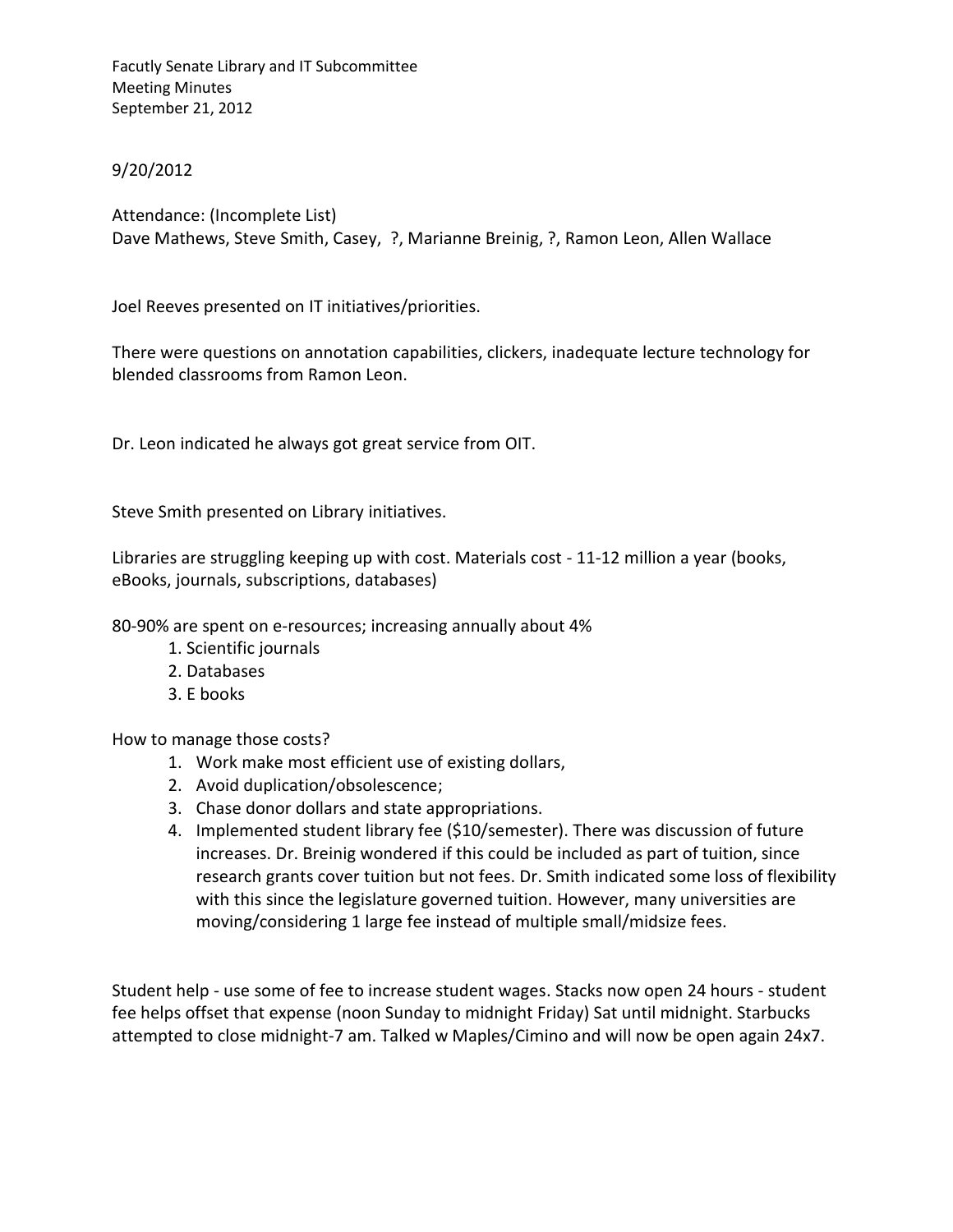Facutly Senate Library and IT Subcommittee Meeting Minutes September 21, 2012

## 9/20/2012

Attendance: (Incomplete List) Dave Mathews, Steve Smith, Casey, ?, Marianne Breinig, ?, Ramon Leon, Allen Wallace

Joel Reeves presented on IT initiatives/priorities.

There were questions on annotation capabilities, clickers, inadequate lecture technology for blended classrooms from Ramon Leon.

Dr. Leon indicated he always got great service from OIT.

Steve Smith presented on Library initiatives.

Libraries are struggling keeping up with cost. Materials cost - 11-12 million a year (books, eBooks, journals, subscriptions, databases)

80-90% are spent on e-resources; increasing annually about 4%

- 1. Scientific journals
- 2. Databases
- 3. E books

How to manage those costs?

- 1. Work make most efficient use of existing dollars,
- 2. Avoid duplication/obsolescence;
- 3. Chase donor dollars and state appropriations.
- 4. Implemented student library fee (\$10/semester). There was discussion of future increases. Dr. Breinig wondered if this could be included as part of tuition, since research grants cover tuition but not fees. Dr. Smith indicated some loss of flexibility with this since the legislature governed tuition. However, many universities are moving/considering 1 large fee instead of multiple small/midsize fees.

Student help - use some of fee to increase student wages. Stacks now open 24 hours - student fee helps offset that expense (noon Sunday to midnight Friday) Sat until midnight. Starbucks attempted to close midnight-7 am. Talked w Maples/Cimino and will now be open again 24x7.